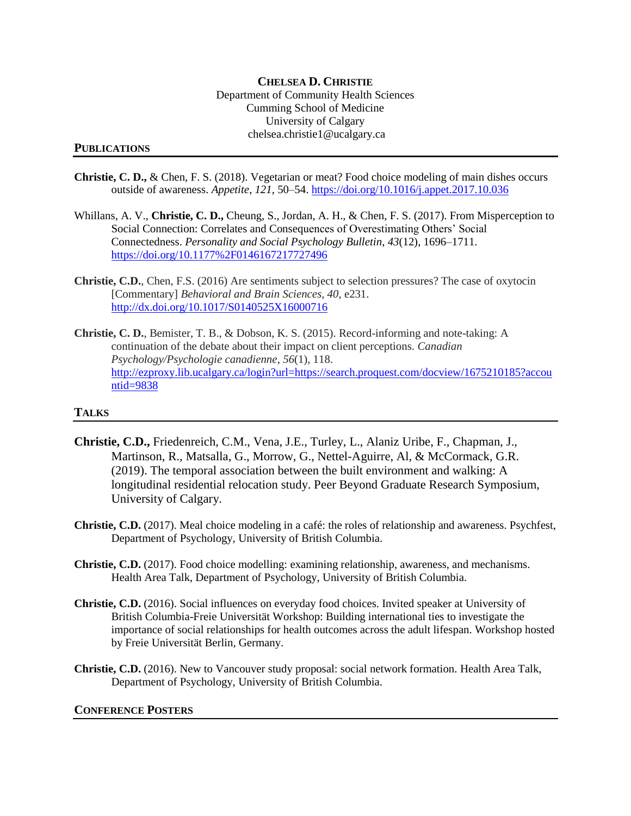## **CHELSEA D. CHRISTIE** Department of Community Health Sciences Cumming School of Medicine University of Calgary chelsea.christie1@ucalgary.ca

## **PUBLICATIONS**

- **Christie, C. D.,** & Chen, F. S. (2018). Vegetarian or meat? Food choice modeling of main dishes occurs outside of awareness. *Appetite*, *121*, 50–54. <https://doi.org/10.1016/j.appet.2017.10.036>
- Whillans, A. V., **Christie, C. D.,** Cheung, S., Jordan, A. H., & Chen, F. S. (2017). From Misperception to Social Connection: Correlates and Consequences of Overestimating Others' Social Connectedness. *Personality and Social Psychology Bulletin*, *43*(12), 1696–1711. <https://doi.org/10.1177%2F0146167217727496>
- **Christie, C.D.**, Chen, F.S. (2016) Are sentiments subject to selection pressures? The case of oxytocin [Commentary] *Behavioral and Brain Sciences, 40,* e231. <http://dx.doi.org/10.1017/S0140525X16000716>
- **Christie, C. D.**, Bemister, T. B., & Dobson, K. S. (2015). Record-informing and note-taking: A continuation of the debate about their impact on client perceptions. *Canadian Psychology/Psychologie canadienne*, *56*(1), 118. [http://ezproxy.lib.ucalgary.ca/login?url=https://search.proquest.com/docview/1675210185?accou](http://ezproxy.lib.ucalgary.ca/login?url=https://search.proquest.com/docview/1675210185?accountid=9838) [ntid=9838](http://ezproxy.lib.ucalgary.ca/login?url=https://search.proquest.com/docview/1675210185?accountid=9838)

## **TALKS**

- **Christie, C.D.,** Friedenreich, C.M., Vena, J.E., Turley, L., Alaniz Uribe, F., Chapman, J., Martinson, R., Matsalla, G., Morrow, G., Nettel-Aguirre, Al, & McCormack, G.R. (2019). The temporal association between the built environment and walking: A longitudinal residential relocation study. Peer Beyond Graduate Research Symposium, University of Calgary.
- **Christie, C.D.** (2017). Meal choice modeling in a café: the roles of relationship and awareness. Psychfest, Department of Psychology, University of British Columbia.
- **Christie, C.D.** (2017). Food choice modelling: examining relationship, awareness, and mechanisms. Health Area Talk, Department of Psychology, University of British Columbia.
- **Christie, C.D.** (2016). Social influences on everyday food choices. Invited speaker at University of British Columbia-Freie Universität Workshop: Building international ties to investigate the importance of social relationships for health outcomes across the adult lifespan. Workshop hosted by Freie Universität Berlin, Germany.
- **Christie, C.D.** (2016). New to Vancouver study proposal: social network formation. Health Area Talk, Department of Psychology, University of British Columbia.

## **CONFERENCE POSTERS**